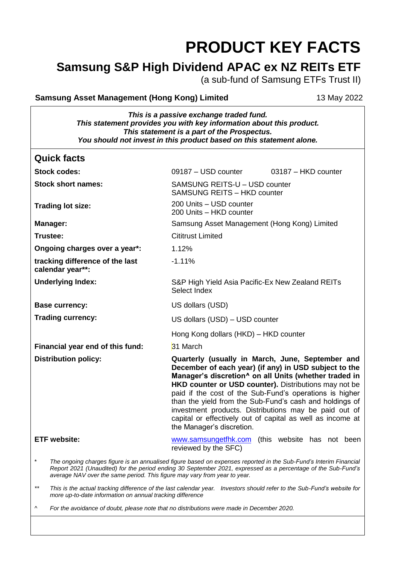# **PRODUCT KEY FACTS**

## **Samsung S&P High Dividend APAC ex NZ REITs ETF**

(a sub-fund of Samsung ETFs Trust II)

#### **Samsung Asset Management (Hong Kong) Limited** 13 May 2022

*This is a passive exchange traded fund. This statement provides you with key information about this product. This statement is a part of the Prospectus. You should not invest in this product based on this statement alone.*

| <b>Quick facts</b>                                                                                                                                                                                                                                                                                             |                                                                                                                                                                                                                                                                                                                                                                                                                                                                                                       |  |
|----------------------------------------------------------------------------------------------------------------------------------------------------------------------------------------------------------------------------------------------------------------------------------------------------------------|-------------------------------------------------------------------------------------------------------------------------------------------------------------------------------------------------------------------------------------------------------------------------------------------------------------------------------------------------------------------------------------------------------------------------------------------------------------------------------------------------------|--|
| <b>Stock codes:</b>                                                                                                                                                                                                                                                                                            | 09187 - USD counter<br>03187 - HKD counter                                                                                                                                                                                                                                                                                                                                                                                                                                                            |  |
| <b>Stock short names:</b>                                                                                                                                                                                                                                                                                      | SAMSUNG REITS-U - USD counter<br><b>SAMSUNG REITS - HKD counter</b>                                                                                                                                                                                                                                                                                                                                                                                                                                   |  |
| Trading lot size:                                                                                                                                                                                                                                                                                              | 200 Units - USD counter<br>200 Units - HKD counter                                                                                                                                                                                                                                                                                                                                                                                                                                                    |  |
| <b>Manager:</b>                                                                                                                                                                                                                                                                                                | Samsung Asset Management (Hong Kong) Limited                                                                                                                                                                                                                                                                                                                                                                                                                                                          |  |
| Trustee:                                                                                                                                                                                                                                                                                                       | <b>Cititrust Limited</b>                                                                                                                                                                                                                                                                                                                                                                                                                                                                              |  |
| Ongoing charges over a year*:                                                                                                                                                                                                                                                                                  | 1.12%                                                                                                                                                                                                                                                                                                                                                                                                                                                                                                 |  |
| tracking difference of the last<br>calendar year**:                                                                                                                                                                                                                                                            | $-1.11%$                                                                                                                                                                                                                                                                                                                                                                                                                                                                                              |  |
| <b>Underlying Index:</b>                                                                                                                                                                                                                                                                                       | S&P High Yield Asia Pacific-Ex New Zealand REITs<br>Select Index                                                                                                                                                                                                                                                                                                                                                                                                                                      |  |
| <b>Base currency:</b>                                                                                                                                                                                                                                                                                          | US dollars (USD)                                                                                                                                                                                                                                                                                                                                                                                                                                                                                      |  |
| <b>Trading currency:</b>                                                                                                                                                                                                                                                                                       | US dollars (USD) - USD counter                                                                                                                                                                                                                                                                                                                                                                                                                                                                        |  |
|                                                                                                                                                                                                                                                                                                                | Hong Kong dollars (HKD) - HKD counter                                                                                                                                                                                                                                                                                                                                                                                                                                                                 |  |
| Financial year end of this fund:                                                                                                                                                                                                                                                                               | 31 March                                                                                                                                                                                                                                                                                                                                                                                                                                                                                              |  |
| <b>Distribution policy:</b>                                                                                                                                                                                                                                                                                    | Quarterly (usually in March, June, September and<br>December of each year) (if any) in USD subject to the<br>Manager's discretion^ on all Units (whether traded in<br>HKD counter or USD counter). Distributions may not be<br>paid if the cost of the Sub-Fund's operations is higher<br>than the yield from the Sub-Fund's cash and holdings of<br>investment products. Distributions may be paid out of<br>capital or effectively out of capital as well as income at<br>the Manager's discretion. |  |
| <b>ETF</b> website:                                                                                                                                                                                                                                                                                            | www.samsungetfhk.com (this website has not been<br>reviewed by the SFC)                                                                                                                                                                                                                                                                                                                                                                                                                               |  |
| The ongoing charges figure is an annualised figure based on expenses reported in the Sub-Fund's Interim Financial<br>Report 2021 (Unaudited) for the period ending 30 September 2021, expressed as a percentage of the Sub-Fund's<br>average NAV over the same period. This figure may vary from year to year. |                                                                                                                                                                                                                                                                                                                                                                                                                                                                                                       |  |
| $***$<br>This is the actual tracking difference of the last calendar year. Investors should refer to the Sub-Fund's website for<br>more up-to-date information on annual tracking difference                                                                                                                   |                                                                                                                                                                                                                                                                                                                                                                                                                                                                                                       |  |
| For the avoidance of doubt, please note that no distributions were made in December 2020.<br>۸                                                                                                                                                                                                                 |                                                                                                                                                                                                                                                                                                                                                                                                                                                                                                       |  |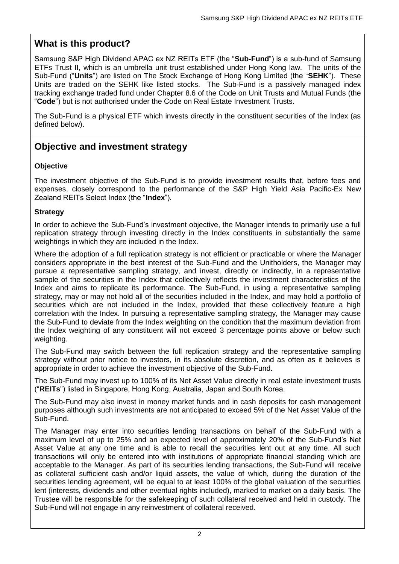## **What is this product?**

Samsung S&P High Dividend APAC ex NZ REITs ETF (the "**Sub-Fund**") is a sub-fund of Samsung ETFs Trust II, which is an umbrella unit trust established under Hong Kong law. The units of the Sub-Fund ("**Units**") are listed on The Stock Exchange of Hong Kong Limited (the "**SEHK**"). These Units are traded on the SEHK like listed stocks. The Sub-Fund is a passively managed index tracking exchange traded fund under Chapter 8.6 of the Code on Unit Trusts and Mutual Funds (the "**Code**") but is not authorised under the Code on Real Estate Investment Trusts.

The Sub-Fund is a physical ETF which invests directly in the constituent securities of the Index (as defined below).

## **Objective and investment strategy**

#### **Objective**

The investment objective of the Sub-Fund is to provide investment results that, before fees and expenses, closely correspond to the performance of the S&P High Yield Asia Pacific-Ex New Zealand REITs Select Index (the "**Index**").

#### **Strategy**

In order to achieve the Sub-Fund's investment objective, the Manager intends to primarily use a full replication strategy through investing directly in the Index constituents in substantially the same weightings in which they are included in the Index.

Where the adoption of a full replication strategy is not efficient or practicable or where the Manager considers appropriate in the best interest of the Sub-Fund and the Unitholders, the Manager may pursue a representative sampling strategy, and invest, directly or indirectly, in a representative sample of the securities in the Index that collectively reflects the investment characteristics of the Index and aims to replicate its performance. The Sub-Fund, in using a representative sampling strategy, may or may not hold all of the securities included in the Index, and may hold a portfolio of securities which are not included in the Index, provided that these collectively feature a high correlation with the Index. In pursuing a representative sampling strategy, the Manager may cause the Sub-Fund to deviate from the Index weighting on the condition that the maximum deviation from the Index weighting of any constituent will not exceed 3 percentage points above or below such weighting.

The Sub-Fund may switch between the full replication strategy and the representative sampling strategy without prior notice to investors, in its absolute discretion, and as often as it believes is appropriate in order to achieve the investment objective of the Sub-Fund.

The Sub-Fund may invest up to 100% of its Net Asset Value directly in real estate investment trusts ("**REITs**") listed in Singapore, Hong Kong, Australia, Japan and South Korea.

The Sub-Fund may also invest in money market funds and in cash deposits for cash management purposes although such investments are not anticipated to exceed 5% of the Net Asset Value of the Sub-Fund.

The Manager may enter into securities lending transactions on behalf of the Sub-Fund with a maximum level of up to 25% and an expected level of approximately 20% of the Sub-Fund's Net Asset Value at any one time and is able to recall the securities lent out at any time. All such transactions will only be entered into with institutions of appropriate financial standing which are acceptable to the Manager. As part of its securities lending transactions, the Sub-Fund will receive as collateral sufficient cash and/or liquid assets, the value of which, during the duration of the securities lending agreement, will be equal to at least 100% of the global valuation of the securities lent (interests, dividends and other eventual rights included), marked to market on a daily basis. The Trustee will be responsible for the safekeeping of such collateral received and held in custody. The Sub-Fund will not engage in any reinvestment of collateral received.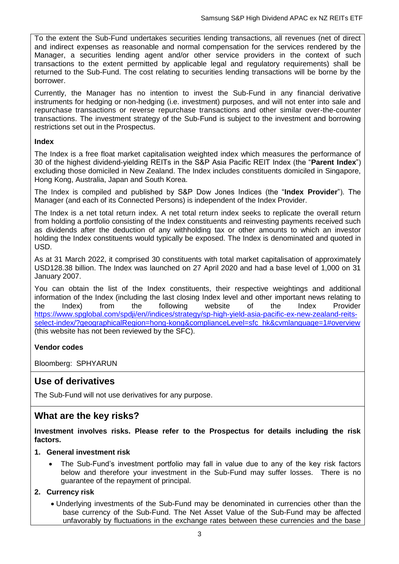To the extent the Sub-Fund undertakes securities lending transactions, all revenues (net of direct and indirect expenses as reasonable and normal compensation for the services rendered by the Manager, a securities lending agent and/or other service providers in the context of such transactions to the extent permitted by applicable legal and regulatory requirements) shall be returned to the Sub-Fund. The cost relating to securities lending transactions will be borne by the borrower.

Currently, the Manager has no intention to invest the Sub-Fund in any financial derivative instruments for hedging or non-hedging (i.e. investment) purposes, and will not enter into sale and repurchase transactions or reverse repurchase transactions and other similar over-the-counter transactions. The investment strategy of the Sub-Fund is subject to the investment and borrowing restrictions set out in the Prospectus.

#### **Index**

The Index is a free float market capitalisation weighted index which measures the performance of 30 of the highest dividend-yielding REITs in the S&P Asia Pacific REIT Index (the "**Parent Index**") excluding those domiciled in New Zealand. The Index includes constituents domiciled in Singapore, Hong Kong, Australia, Japan and South Korea.

The Index is compiled and published by S&P Dow Jones Indices (the "**Index Provider**"). The Manager (and each of its Connected Persons) is independent of the Index Provider.

The Index is a net total return index. A net total return index seeks to replicate the overall return from holding a portfolio consisting of the Index constituents and reinvesting payments received such as dividends after the deduction of any withholding tax or other amounts to which an investor holding the Index constituents would typically be exposed. The Index is denominated and quoted in USD.

As at 31 March 2022, it comprised 30 constituents with total market capitalisation of approximately USD128.38 billion. The Index was launched on 27 April 2020 and had a base level of 1,000 on 31 January 2007.

You can obtain the list of the Index constituents, their respective weightings and additional information of the Index (including the last closing Index level and other important news relating to the Index) from the following website of the Index Provider [https://www.spglobal.com/spdji/en//indices/strategy/sp-high-yield-asia-pacific-ex-new-zealand-reits](https://www.spglobal.com/spdji/en/indices/strategy/sp-high-yield-asia-pacific-ex-new-zealand-reits-select-index/?geographicalRegion=hong-kong&complianceLevel=sfc_hk&cvmlanguage=1#overview)[select-index/?geographicalRegion=hong-kong&complianceLevel=sfc\\_hk&cvmlanguage=1#overview](https://www.spglobal.com/spdji/en/indices/strategy/sp-high-yield-asia-pacific-ex-new-zealand-reits-select-index/?geographicalRegion=hong-kong&complianceLevel=sfc_hk&cvmlanguage=1#overview) (this website has not been reviewed by the SFC).

#### **Vendor codes**

Bloomberg: SPHYARUN

## **Use of derivatives**

The Sub-Fund will not use derivatives for any purpose.

#### **What are the key risks?**

**Investment involves risks. Please refer to the Prospectus for details including the risk factors.**

#### **1. General investment risk**

 The Sub-Fund's investment portfolio may fall in value due to any of the key risk factors below and therefore your investment in the Sub-Fund may suffer losses. There is no guarantee of the repayment of principal.

#### **2. Currency risk**

 Underlying investments of the Sub-Fund may be denominated in currencies other than the base currency of the Sub-Fund. The Net Asset Value of the Sub-Fund may be affected unfavorably by fluctuations in the exchange rates between these currencies and the base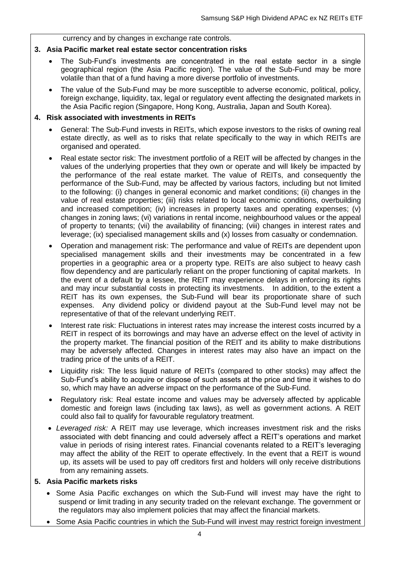currency and by changes in exchange rate controls.

#### **3. Asia Pacific market real estate sector concentration risks**

- The Sub-Fund's investments are concentrated in the real estate sector in a single geographical region (the Asia Pacific region). The value of the Sub-Fund may be more volatile than that of a fund having a more diverse portfolio of investments.
- The value of the Sub-Fund may be more susceptible to adverse economic, political, policy, foreign exchange, liquidity, tax, legal or regulatory event affecting the designated markets in the Asia Pacific region (Singapore, Hong Kong, Australia, Japan and South Korea).

#### **4. Risk associated with investments in REITs**

- General: The Sub-Fund invests in REITs, which expose investors to the risks of owning real estate directly, as well as to risks that relate specifically to the way in which REITs are organised and operated.
- Real estate sector risk: The investment portfolio of a REIT will be affected by changes in the values of the underlying properties that they own or operate and will likely be impacted by the performance of the real estate market. The value of REITs, and consequently the performance of the Sub-Fund, may be affected by various factors, including but not limited to the following: (i) changes in general economic and market conditions; (ii) changes in the value of real estate properties; (iii) risks related to local economic conditions, overbuilding and increased competition; (iv) increases in property taxes and operating expenses; (v) changes in zoning laws; (vi) variations in rental income, neighbourhood values or the appeal of property to tenants; (vii) the availability of financing; (viii) changes in interest rates and leverage; (ix) specialised management skills and (x) losses from casualty or condemnation.
- Operation and management risk: The performance and value of REITs are dependent upon specialised management skills and their investments may be concentrated in a few properties in a geographic area or a property type. REITs are also subject to heavy cash flow dependency and are particularly reliant on the proper functioning of capital markets. In the event of a default by a lessee, the REIT may experience delays in enforcing its rights and may incur substantial costs in protecting its investments. In addition, to the extent a REIT has its own expenses, the Sub-Fund will bear its proportionate share of such expenses. Any dividend policy or dividend payout at the Sub-Fund level may not be representative of that of the relevant underlying REIT.
- Interest rate risk: Fluctuations in interest rates may increase the interest costs incurred by a REIT in respect of its borrowings and may have an adverse effect on the level of activity in the property market. The financial position of the REIT and its ability to make distributions may be adversely affected. Changes in interest rates may also have an impact on the trading price of the units of a REIT.
- Liquidity risk: The less liquid nature of REITs (compared to other stocks) may affect the Sub-Fund's ability to acquire or dispose of such assets at the price and time it wishes to do so, which may have an adverse impact on the performance of the Sub-Fund.
- Regulatory risk: Real estate income and values may be adversely affected by applicable domestic and foreign laws (including tax laws), as well as government actions. A REIT could also fail to qualify for favourable regulatory treatment.
- *Leveraged risk:* A REIT may use leverage, which increases investment risk and the risks associated with debt financing and could adversely affect a REIT's operations and market value in periods of rising interest rates. Financial covenants related to a REIT's leveraging may affect the ability of the REIT to operate effectively. In the event that a REIT is wound up, its assets will be used to pay off creditors first and holders will only receive distributions from any remaining assets.

#### **5. Asia Pacific markets risks**

- Some Asia Pacific exchanges on which the Sub-Fund will invest may have the right to suspend or limit trading in any security traded on the relevant exchange. The government or the regulators may also implement policies that may affect the financial markets.
- Some Asia Pacific countries in which the Sub-Fund will invest may restrict foreign investment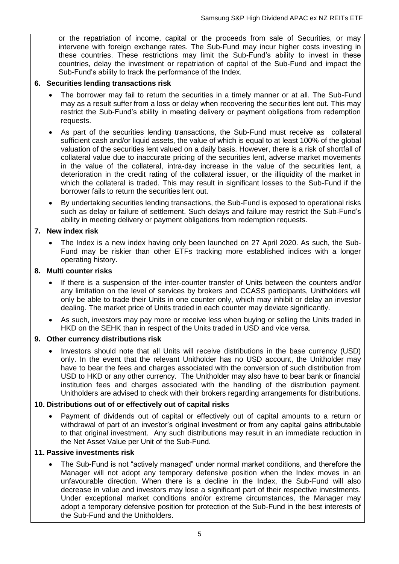or the repatriation of income, capital or the proceeds from sale of Securities, or may intervene with foreign exchange rates. The Sub-Fund may incur higher costs investing in these countries. These restrictions may limit the Sub-Fund's ability to invest in these countries, delay the investment or repatriation of capital of the Sub-Fund and impact the Sub-Fund's ability to track the performance of the Index.

#### **6. Securities lending transactions risk**

- The borrower may fail to return the securities in a timely manner or at all. The Sub-Fund may as a result suffer from a loss or delay when recovering the securities lent out. This may restrict the Sub-Fund's ability in meeting delivery or payment obligations from redemption requests.
- As part of the securities lending transactions, the Sub-Fund must receive as collateral sufficient cash and/or liquid assets, the value of which is equal to at least 100% of the global valuation of the securities lent valued on a daily basis. However, there is a risk of shortfall of collateral value due to inaccurate pricing of the securities lent, adverse market movements in the value of the collateral, intra-day increase in the value of the securities lent, a deterioration in the credit rating of the collateral issuer, or the illiquidity of the market in which the collateral is traded. This may result in significant losses to the Sub-Fund if the borrower fails to return the securities lent out.
- By undertaking securities lending transactions, the Sub-Fund is exposed to operational risks such as delay or failure of settlement. Such delays and failure may restrict the Sub-Fund's ability in meeting delivery or payment obligations from redemption requests.

#### **7. New index risk**

 The Index is a new index having only been launched on 27 April 2020. As such, the Sub-Fund may be riskier than other ETFs tracking more established indices with a longer operating history.

#### **8. Multi counter risks**

- If there is a suspension of the inter-counter transfer of Units between the counters and/or any limitation on the level of services by brokers and CCASS participants, Unitholders will only be able to trade their Units in one counter only, which may inhibit or delay an investor dealing. The market price of Units traded in each counter may deviate significantly.
- As such, investors may pay more or receive less when buying or selling the Units traded in HKD on the SEHK than in respect of the Units traded in USD and vice versa.

#### **9. Other currency distributions risk**

 Investors should note that all Units will receive distributions in the base currency (USD) only. In the event that the relevant Unitholder has no USD account, the Unitholder may have to bear the fees and charges associated with the conversion of such distribution from USD to HKD or any other currency. The Unitholder may also have to bear bank or financial institution fees and charges associated with the handling of the distribution payment. Unitholders are advised to check with their brokers regarding arrangements for distributions.

#### **10. Distributions out of or effectively out of capital risks**

 Payment of dividends out of capital or effectively out of capital amounts to a return or withdrawal of part of an investor's original investment or from any capital gains attributable to that original investment. Any such distributions may result in an immediate reduction in the Net Asset Value per Unit of the Sub-Fund.

#### **11. Passive investments risk**

 The Sub-Fund is not "actively managed" under normal market conditions, and therefore the Manager will not adopt any temporary defensive position when the Index moves in an unfavourable direction. When there is a decline in the Index, the Sub-Fund will also decrease in value and investors may lose a significant part of their respective investments. Under exceptional market conditions and/or extreme circumstances, the Manager may adopt a temporary defensive position for protection of the Sub-Fund in the best interests of the Sub-Fund and the Unitholders.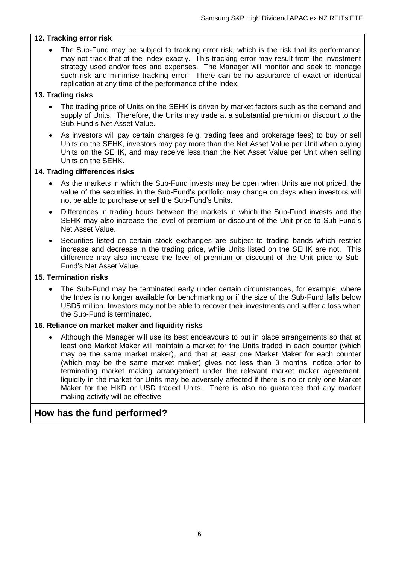#### **12. Tracking error risk**

• The Sub-Fund may be subject to tracking error risk, which is the risk that its performance may not track that of the Index exactly. This tracking error may result from the investment strategy used and/or fees and expenses. The Manager will monitor and seek to manage such risk and minimise tracking error. There can be no assurance of exact or identical replication at any time of the performance of the Index.

#### **13. Trading risks**

- The trading price of Units on the SEHK is driven by market factors such as the demand and supply of Units. Therefore, the Units may trade at a substantial premium or discount to the Sub-Fund's Net Asset Value.
- As investors will pay certain charges (e.g. trading fees and brokerage fees) to buy or sell Units on the SEHK, investors may pay more than the Net Asset Value per Unit when buying Units on the SEHK, and may receive less than the Net Asset Value per Unit when selling Units on the SEHK.

#### **14. Trading differences risks**

- As the markets in which the Sub-Fund invests may be open when Units are not priced, the value of the securities in the Sub-Fund's portfolio may change on days when investors will not be able to purchase or sell the Sub-Fund's Units.
- Differences in trading hours between the markets in which the Sub-Fund invests and the SEHK may also increase the level of premium or discount of the Unit price to Sub-Fund's Net Asset Value.
- Securities listed on certain stock exchanges are subject to trading bands which restrict increase and decrease in the trading price, while Units listed on the SEHK are not. This difference may also increase the level of premium or discount of the Unit price to Sub-Fund's Net Asset Value.

#### **15. Termination risks**

• The Sub-Fund may be terminated early under certain circumstances, for example, where the Index is no longer available for benchmarking or if the size of the Sub-Fund falls below USD5 million. Investors may not be able to recover their investments and suffer a loss when the Sub-Fund is terminated.

#### **16. Reliance on market maker and liquidity risks**

 Although the Manager will use its best endeavours to put in place arrangements so that at least one Market Maker will maintain a market for the Units traded in each counter (which may be the same market maker), and that at least one Market Maker for each counter (which may be the same market maker) gives not less than 3 months' notice prior to terminating market making arrangement under the relevant market maker agreement, liquidity in the market for Units may be adversely affected if there is no or only one Market Maker for the HKD or USD traded Units. There is also no guarantee that any market making activity will be effective.

#### **How has the fund performed?**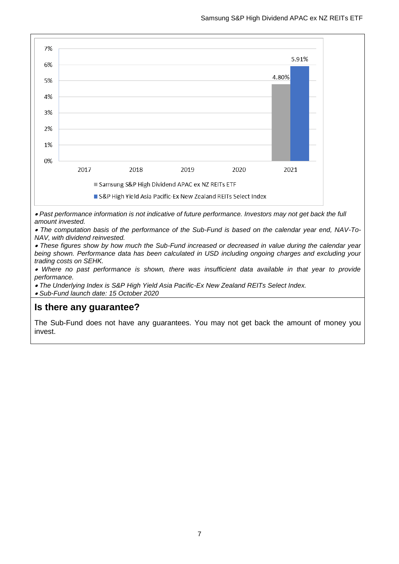

 *Past performance information is not indicative of future performance. Investors may not get back the full amount invested.*

 *The computation basis of the performance of the Sub-Fund is based on the calendar year end, NAV-To-NAV, with dividend reinvested.* 

 *These figures show by how much the Sub-Fund increased or decreased in value during the calendar year being shown. Performance data has been calculated in USD including ongoing charges and excluding your trading costs on SEHK.* 

 *Where no past performance is shown, there was insufficient data available in that year to provide performance.* 

*The Underlying Index is S&P High Yield Asia Pacific-Ex New Zealand REITs Select Index.* 

*Sub-Fund launch date: 15 October 2020*

#### **Is there any guarantee?**

The Sub-Fund does not have any guarantees. You may not get back the amount of money you invest.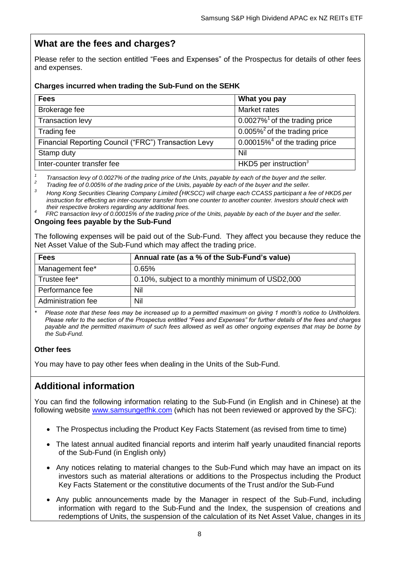## **What are the fees and charges?**

Please refer to the section entitled "Fees and Expenses" of the Prospectus for details of other fees and expenses.

#### **Charges incurred when trading the Sub-Fund on the SEHK**

| <b>Fees</b>                                          | What you pay                                 |
|------------------------------------------------------|----------------------------------------------|
| Brokerage fee                                        | <b>Market rates</b>                          |
| Transaction levy                                     | $0.0027\%$ <sup>1</sup> of the trading price |
| Trading fee                                          | $0.005\%$ <sup>2</sup> of the trading price  |
| Financial Reporting Council ("FRC") Transaction Levy | 0.00015% $4$ of the trading price            |
| Stamp duty                                           | Nil                                          |
| Inter-counter transfer fee                           | HKD5 per instruction $3$                     |

*1 Transaction levy of 0.0027% of the trading price of the Units, payable by each of the buyer and the seller. 2 Trading fee of 0.005% of the trading price of the Units, payable by each of the buyer and the seller.*

*<sup>3</sup> Hong Kong Securities Clearing Company Limited (HKSCC) will charge each CCASS participant a fee of HKD5 per instruction for effecting an inter-counter transfer from one counter to another counter. Investors should check with their respective brokers regarding any additional fees.*

*<sup>4</sup>FRC transaction levy of 0.00015% of the trading price of the Units, payable by each of the buyer and the seller.*

#### **Ongoing fees payable by the Sub-Fund**

The following expenses will be paid out of the Sub-Fund. They affect you because they reduce the Net Asset Value of the Sub-Fund which may affect the trading price.

| <b>Fees</b>        | Annual rate (as a % of the Sub-Fund's value)    |
|--------------------|-------------------------------------------------|
| Management fee*    | 0.65%                                           |
| Trustee fee*       | 0.10%, subject to a monthly minimum of USD2,000 |
| Performance fee    | Nil                                             |
| Administration fee | Nil                                             |

*\* Please note that these fees may be increased up to a permitted maximum on giving 1 month's notice to Unitholders. Please refer to the section of the Prospectus entitled "Fees and Expenses" for further details of the fees and charges payable and the permitted maximum of such fees allowed as well as other ongoing expenses that may be borne by the Sub-Fund.*

#### **Other fees**

You may have to pay other fees when dealing in the Units of the Sub-Fund.

## **Additional information**

You can find the following information relating to the Sub-Fund (in English and in Chinese) at the following website [www.samsungetfhk.com](http://www.samsungetfhk.com/) (which has not been reviewed or approved by the SFC):

- The Prospectus including the Product Key Facts Statement (as revised from time to time)
- The latest annual audited financial reports and interim half yearly unaudited financial reports of the Sub-Fund (in English only)
- Any notices relating to material changes to the Sub-Fund which may have an impact on its investors such as material alterations or additions to the Prospectus including the Product Key Facts Statement or the constitutive documents of the Trust and/or the Sub-Fund
- Any public announcements made by the Manager in respect of the Sub-Fund, including information with regard to the Sub-Fund and the Index, the suspension of creations and redemptions of Units, the suspension of the calculation of its Net Asset Value, changes in its